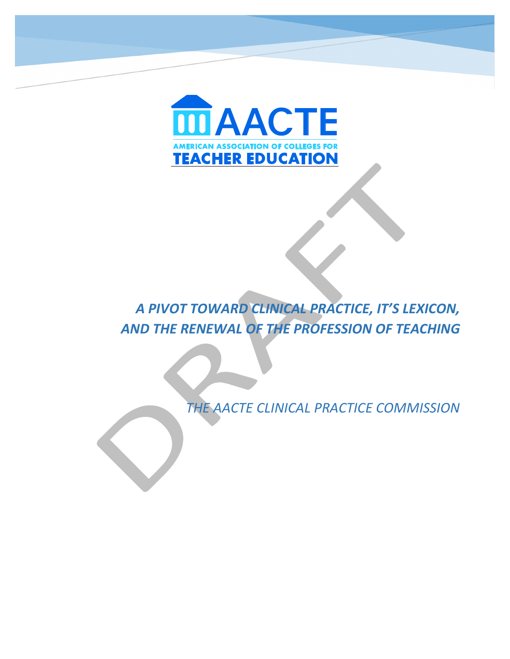

# **A PIVOT TOWARD CLINICAL PRACTICE, IT'S LEXICON, AND THE RENEWAL OF THE PROFESSION OF TEACHING**

*THE AACTE CLINICAL PRACTICE COMMISSION*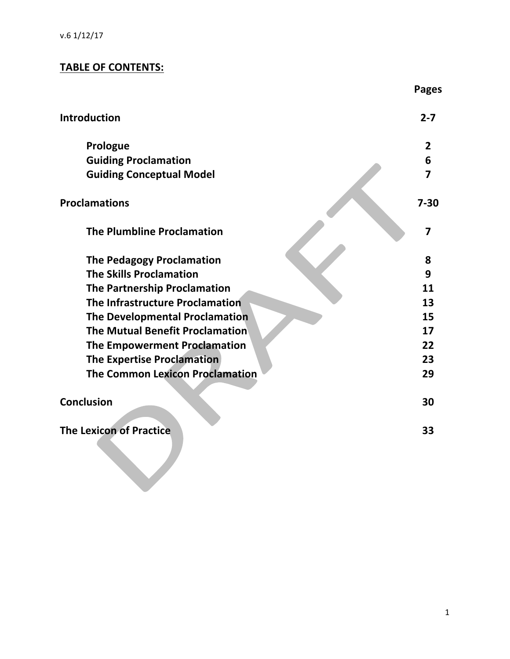# **TABLE OF CONTENTS:**

|                                        | <b>Pages</b>   |
|----------------------------------------|----------------|
| <b>Introduction</b>                    | $2 - 7$        |
| Prologue                               | $\overline{2}$ |
| <b>Guiding Proclamation</b>            | 6              |
| <b>Guiding Conceptual Model</b>        | 7              |
| <b>Proclamations</b>                   | $7 - 30$       |
| <b>The Plumbline Proclamation</b>      | 7              |
| <b>The Pedagogy Proclamation</b>       | 8              |
| <b>The Skills Proclamation</b>         | 9              |
| <b>The Partnership Proclamation</b>    | 11             |
| The Infrastructure Proclamation        | 13             |
| <b>The Developmental Proclamation</b>  | 15             |
| The Mutual Benefit Proclamation        | 17             |
| The Empowerment Proclamation           | 22             |
| <b>The Expertise Proclamation</b>      | 23             |
| <b>The Common Lexicon Proclamation</b> | 29             |
| <b>Conclusion</b>                      | 30             |
| <b>The Lexicon of Practice</b>         | 33             |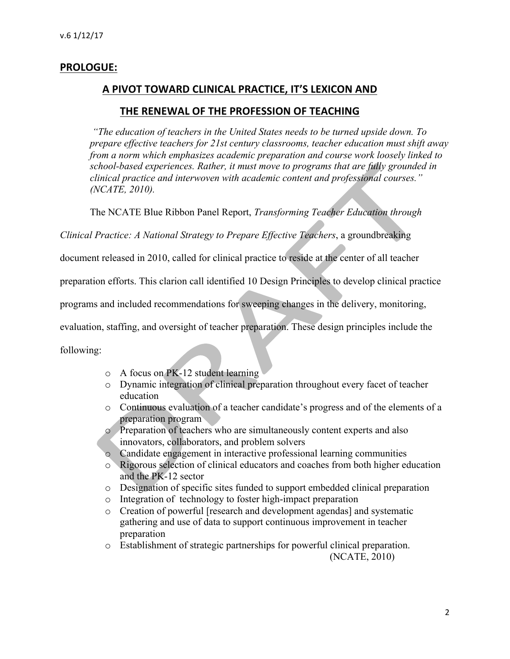# **PROLOGUE:**

# A PIVOT TOWARD CLINICAL PRACTICE, IT'S LEXICON AND

## THE RENEWAL OF THE PROFESSION OF TEACHING

*"The education of teachers in the United States needs to be turned upside down. To prepare effective teachers for 21st century classrooms, teacher education must shift away from a norm which emphasizes academic preparation and course work loosely linked to school-based experiences. Rather, it must move to programs that are fully grounded in clinical practice and interwoven with academic content and professional courses." (NCATE, 2010).*

The NCATE Blue Ribbon Panel Report, *Transforming Teacher Education through* 

*Clinical Practice: A National Strategy to Prepare Effective Teachers*, a groundbreaking

document released in 2010, called for clinical practice to reside at the center of all teacher

preparation efforts. This clarion call identified 10 Design Principles to develop clinical practice

programs and included recommendations for sweeping changes in the delivery, monitoring,

evaluation, staffing, and oversight of teacher preparation. These design principles include the

following:

- o A focus on PK-12 student learning
- o Dynamic integration of clinical preparation throughout every facet of teacher education
- o Continuous evaluation of a teacher candidate's progress and of the elements of a preparation program
- o Preparation of teachers who are simultaneously content experts and also innovators, collaborators, and problem solvers
- o Candidate engagement in interactive professional learning communities
- o Rigorous selection of clinical educators and coaches from both higher education and the PK-12 sector
- o Designation of specific sites funded to support embedded clinical preparation
- o Integration of technology to foster high-impact preparation
- o Creation of powerful [research and development agendas] and systematic gathering and use of data to support continuous improvement in teacher preparation
- o Establishment of strategic partnerships for powerful clinical preparation. (NCATE, 2010)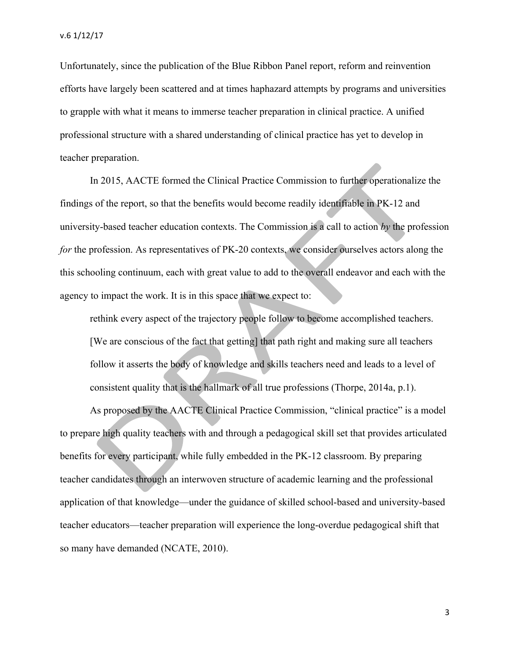Unfortunately, since the publication of the Blue Ribbon Panel report, reform and reinvention efforts have largely been scattered and at times haphazard attempts by programs and universities to grapple with what it means to immerse teacher preparation in clinical practice. A unified professional structure with a shared understanding of clinical practice has yet to develop in teacher preparation.

In 2015, AACTE formed the Clinical Practice Commission to further operationalize the findings of the report, so that the benefits would become readily identifiable in PK-12 and university-based teacher education contexts. The Commission is a call to action *by* the profession *for* the profession. As representatives of PK-20 contexts, we consider ourselves actors along the this schooling continuum, each with great value to add to the overall endeavor and each with the agency to impact the work. It is in this space that we expect to:

rethink every aspect of the trajectory people follow to become accomplished teachers. [We are conscious of the fact that getting] that path right and making sure all teachers follow it asserts the body of knowledge and skills teachers need and leads to a level of consistent quality that is the hallmark of all true professions (Thorpe, 2014a, p.1).

As proposed by the AACTE Clinical Practice Commission, "clinical practice" is a model to prepare high quality teachers with and through a pedagogical skill set that provides articulated benefits for every participant, while fully embedded in the PK-12 classroom. By preparing teacher candidates through an interwoven structure of academic learning and the professional application of that knowledge—under the guidance of skilled school-based and university-based teacher educators—teacher preparation will experience the long-overdue pedagogical shift that so many have demanded (NCATE, 2010).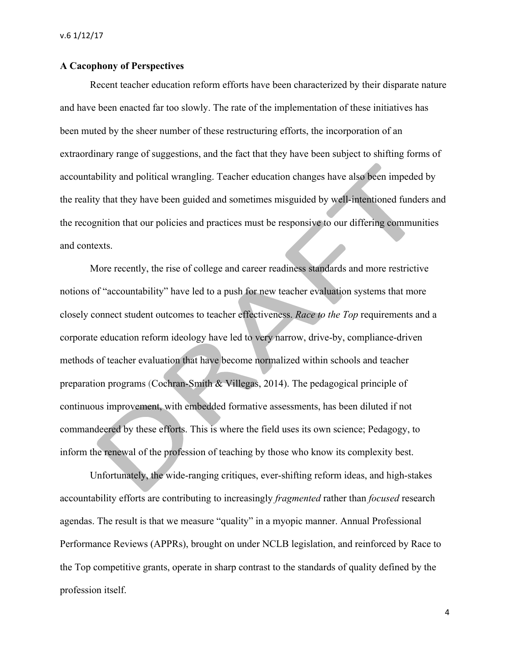#### **A Cacophony of Perspectives**

Recent teacher education reform efforts have been characterized by their disparate nature and have been enacted far too slowly. The rate of the implementation of these initiatives has been muted by the sheer number of these restructuring efforts, the incorporation of an extraordinary range of suggestions, and the fact that they have been subject to shifting forms of accountability and political wrangling. Teacher education changes have also been impeded by the reality that they have been guided and sometimes misguided by well-intentioned funders and the recognition that our policies and practices must be responsive to our differing communities and contexts.

More recently, the rise of college and career readiness standards and more restrictive notions of "accountability" have led to a push for new teacher evaluation systems that more closely connect student outcomes to teacher effectiveness. *Race to the Top* requirements and a corporate education reform ideology have led to very narrow, drive-by, compliance-driven methods of teacher evaluation that have become normalized within schools and teacher preparation programs (Cochran-Smith & Villegas, 2014). The pedagogical principle of continuous improvement, with embedded formative assessments, has been diluted if not commandeered by these efforts. This is where the field uses its own science; Pedagogy, to inform the renewal of the profession of teaching by those who know its complexity best.

Unfortunately, the wide-ranging critiques, ever-shifting reform ideas, and high-stakes accountability efforts are contributing to increasingly *fragmented* rather than *focused* research agendas. The result is that we measure "quality" in a myopic manner. Annual Professional Performance Reviews (APPRs), brought on under NCLB legislation, and reinforced by Race to the Top competitive grants, operate in sharp contrast to the standards of quality defined by the profession itself.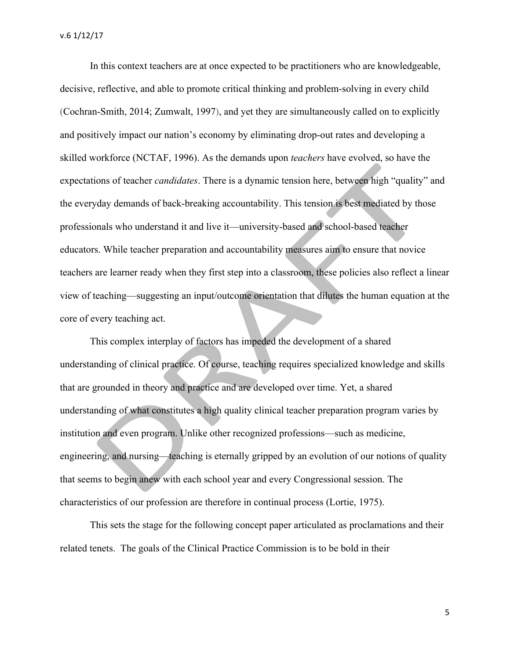In this context teachers are at once expected to be practitioners who are knowledgeable, decisive, reflective, and able to promote critical thinking and problem-solving in every child (Cochran-Smith, 2014; Zumwalt, 1997), and yet they are simultaneously called on to explicitly and positively impact our nation's economy by eliminating drop-out rates and developing a skilled workforce (NCTAF, 1996). As the demands upon *teachers* have evolved, so have the expectations of teacher *candidates*. There is a dynamic tension here, between high "quality" and the everyday demands of back-breaking accountability. This tension is best mediated by those professionals who understand it and live it—university-based and school-based teacher educators. While teacher preparation and accountability measures aim to ensure that novice teachers are learner ready when they first step into a classroom, these policies also reflect a linear view of teaching—suggesting an input/outcome orientation that dilutes the human equation at the core of every teaching act.

This complex interplay of factors has impeded the development of a shared understanding of clinical practice. Of course, teaching requires specialized knowledge and skills that are grounded in theory and practice and are developed over time. Yet, a shared understanding of what constitutes a high quality clinical teacher preparation program varies by institution and even program. Unlike other recognized professions—such as medicine, engineering, and nursing—teaching is eternally gripped by an evolution of our notions of quality that seems to begin anew with each school year and every Congressional session. The characteristics of our profession are therefore in continual process (Lortie, 1975).

This sets the stage for the following concept paper articulated as proclamations and their related tenets. The goals of the Clinical Practice Commission is to be bold in their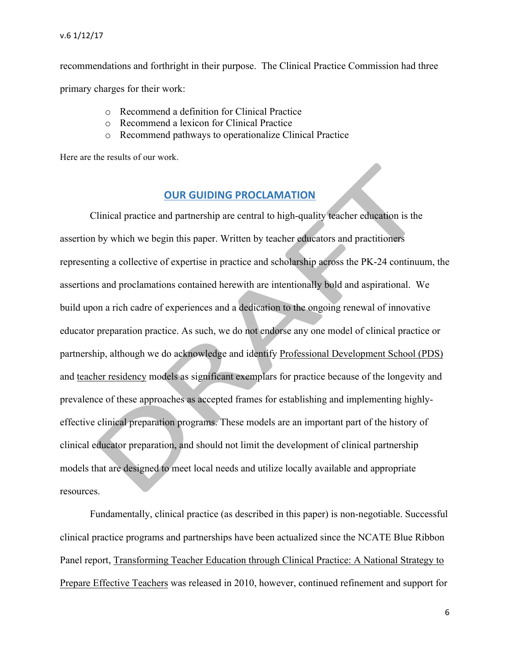#### v.6 1/12/17

recommendations and forthright in their purpose. The Clinical Practice Commission had three primary charges for their work:

- o Recommend a definition for Clinical Practice
- o Recommend a lexicon for Clinical Practice
- o Recommend pathways to operationalize Clinical Practice

Here are the results of our work.

# **OUR GUIDING PROCLAMATION**

Clinical practice and partnership are central to high-quality teacher education is the assertion by which we begin this paper. Written by teacher educators and practitioners representing a collective of expertise in practice and scholarship across the PK-24 continuum, the assertions and proclamations contained herewith are intentionally bold and aspirational. We build upon a rich cadre of experiences and a dedication to the ongoing renewal of innovative educator preparation practice. As such, we do not endorse any one model of clinical practice or partnership, although we do acknowledge and identify Professional Development School (PDS) and teacher residency models as significant exemplars for practice because of the longevity and prevalence of these approaches as accepted frames for establishing and implementing highlyeffective clinical preparation programs. These models are an important part of the history of clinical educator preparation, and should not limit the development of clinical partnership models that are designed to meet local needs and utilize locally available and appropriate resources.

Fundamentally, clinical practice (as described in this paper) is non-negotiable. Successful clinical practice programs and partnerships have been actualized since the NCATE Blue Ribbon Panel report, Transforming Teacher Education through Clinical Practice: A National Strategy to Prepare Effective Teachers was released in 2010, however, continued refinement and support for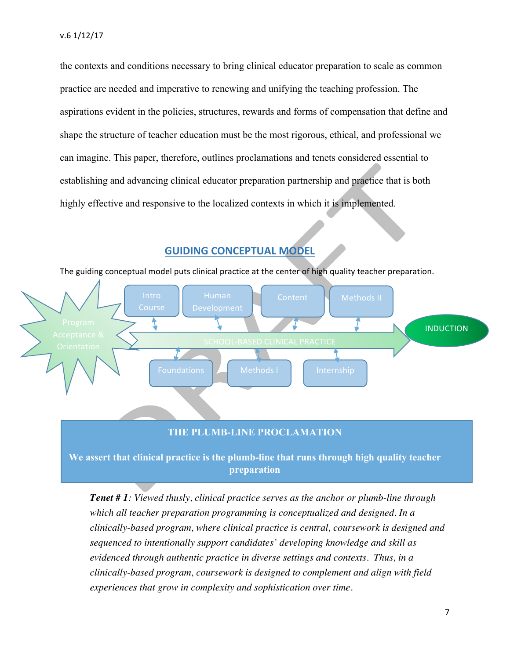the contexts and conditions necessary to bring clinical educator preparation to scale as common practice are needed and imperative to renewing and unifying the teaching profession. The aspirations evident in the policies, structures, rewards and forms of compensation that define and shape the structure of teacher education must be the most rigorous, ethical, and professional we can imagine. This paper, therefore, outlines proclamations and tenets considered essential to establishing and advancing clinical educator preparation partnership and practice that is both highly effective and responsive to the localized contexts in which it is implemented.

#### **GUIDING CONCEPTUAL MODEL**





#### **THE PLUMB-LINE PROCLAMATION**

**We assert that clinical practice is the plumb-line that runs through high quality teacher preparation**

*Tenet # 1: Viewed thusly, clinical practice serves as the anchor or plumb-line through which all teacher preparation programming is conceptualized and designed. In a clinically-based program, where clinical practice is central, coursework is designed and sequenced to intentionally support candidates' developing knowledge and skill as evidenced through authentic practice in diverse settings and contexts. Thus, in a clinically-based program, coursework is designed to complement and align with field experiences that grow in complexity and sophistication over time.*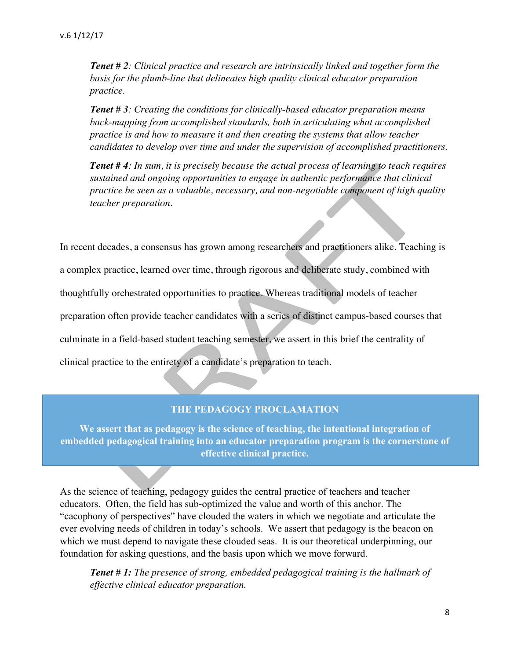*Tenet # 2: Clinical practice and research are intrinsically linked and together form the basis for the plumb-line that delineates high quality clinical educator preparation practice.*

*Tenet # 3: Creating the conditions for clinically-based educator preparation means back-mapping from accomplished standards, both in articulating what accomplished practice is and how to measure it and then creating the systems that allow teacher candidates to develop over time and under the supervision of accomplished practitioners.*

*Tenet # 4: In sum, it is precisely because the actual process of learning to teach requires sustained and ongoing opportunities to engage in authentic performance that clinical practice be seen as a valuable, necessary, and non-negotiable component of high quality teacher preparation.*

In recent decades, a consensus has grown among researchers and practitioners alike. Teaching is a complex practice, learned over time, through rigorous and deliberate study, combined with thoughtfully orchestrated opportunities to practice. Whereas traditional models of teacher preparation often provide teacher candidates with a series of distinct campus-based courses that culminate in a field-based student teaching semester, we assert in this brief the centrality of clinical practice to the entirety of a candidate's preparation to teach.

## **THE PEDAGOGY PROCLAMATION**

**We assert that as pedagogy is the science of teaching, the intentional integration of embedded pedagogical training into an educator preparation program is the cornerstone of effective clinical practice.**

As the science of teaching, pedagogy guides the central practice of teachers and teacher educators. Often, the field has sub-optimized the value and worth of this anchor. The "cacophony of perspectives" have clouded the waters in which we negotiate and articulate the ever evolving needs of children in today's schools. We assert that pedagogy is the beacon on which we must depend to navigate these clouded seas. It is our theoretical underpinning, our foundation for asking questions, and the basis upon which we move forward.

*Tenet # 1: The presence of strong, embedded pedagogical training is the hallmark of effective clinical educator preparation.*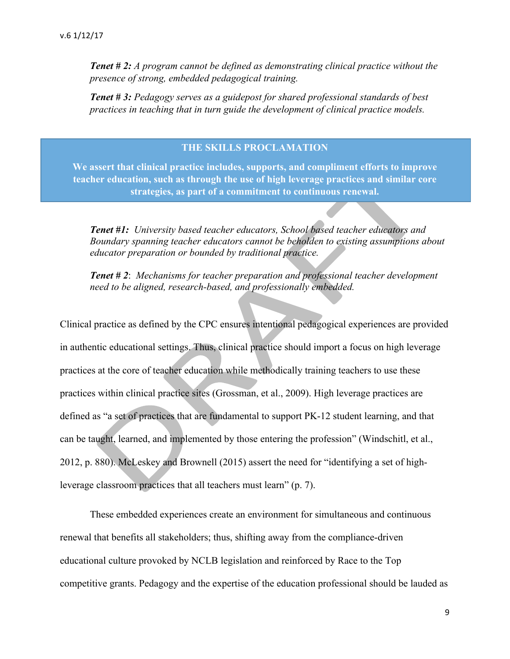*Tenet # 2: A program cannot be defined as demonstrating clinical practice without the presence of strong, embedded pedagogical training.*

*Tenet # 3: Pedagogy serves as a guidepost for shared professional standards of best practices in teaching that in turn guide the development of clinical practice models.*

#### **THE SKILLS PROCLAMATION**

**We assert that clinical practice includes, supports, and compliment efforts to improve teacher education, such as through the use of high leverage practices and similar core strategies, as part of a commitment to continuous renewal.**

*Tenet #1: University based teacher educators, School based teacher educators and Boundary spanning teacher educators cannot be beholden to existing assumptions about educator preparation or bounded by traditional practice.*

*Tenet # 2*: *Mechanisms for teacher preparation and professional teacher development need to be aligned, research-based, and professionally embedded.*

Clinical practice as defined by the CPC ensures intentional pedagogical experiences are provided in authentic educational settings. Thus, clinical practice should import a focus on high leverage practices at the core of teacher education while methodically training teachers to use these practices within clinical practice sites (Grossman, et al., 2009). High leverage practices are defined as "a set of practices that are fundamental to support PK-12 student learning, and that can be taught, learned, and implemented by those entering the profession" (Windschitl, et al., 2012, p. 880). McLeskey and Brownell (2015) assert the need for "identifying a set of highleverage classroom practices that all teachers must learn" (p. 7).

These embedded experiences create an environment for simultaneous and continuous renewal that benefits all stakeholders; thus, shifting away from the compliance-driven educational culture provoked by NCLB legislation and reinforced by Race to the Top competitive grants. Pedagogy and the expertise of the education professional should be lauded as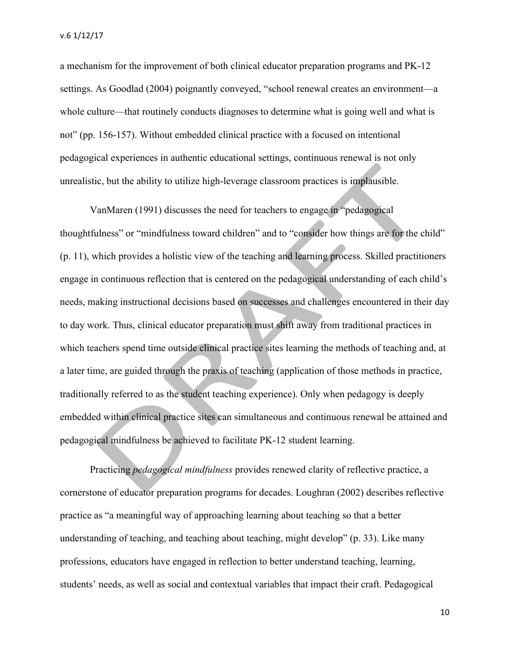a mechanism for the improvement of both clinical educator preparation programs and PK-12 settings. As Goodlad (2004) poignantly conveyed, "school renewal creates an environment—a whole culture—that routinely conducts diagnoses to determine what is going well and what is not" (pp. 156-157). Without embedded clinical practice with a focused on intentional pedagogical experiences in authentic educational settings, continuous renewal is not only unrealistic, but the ability to utilize high-leverage classroom practices is implausible.

VanMaren (1991) discusses the need for teachers to engage in "pedagogical thoughtfulness" or "mindfulness toward children" and to "consider how things are for the child" (p. 11), which provides a holistic view of the teaching and learning process. Skilled practitioners engage in continuous reflection that is centered on the pedagogical understanding of each child's needs, making instructional decisions based on successes and challenges encountered in their day to day work. Thus, clinical educator preparation must shift away from traditional practices in which teachers spend time outside clinical practice sites learning the methods of teaching and, at a later time, are guided through the praxis of teaching (application of those methods in practice, traditionally referred to as the student teaching experience). Only when pedagogy is deeply embedded within clinical practice sites can simultaneous and continuous renewal be attained and pedagogical mindfulness be achieved to facilitate PK-12 student learning.

Practicing *pedagogical mindfulness* provides renewed clarity of reflective practice, a cornerstone of educator preparation programs for decades. Loughran (2002) describes reflective practice as "a meaningful way of approaching learning about teaching so that a better understanding of teaching, and teaching about teaching, might develop" (p. 33). Like many professions, educators have engaged in reflection to better understand teaching, learning, students' needs, as well as social and contextual variables that impact their craft. Pedagogical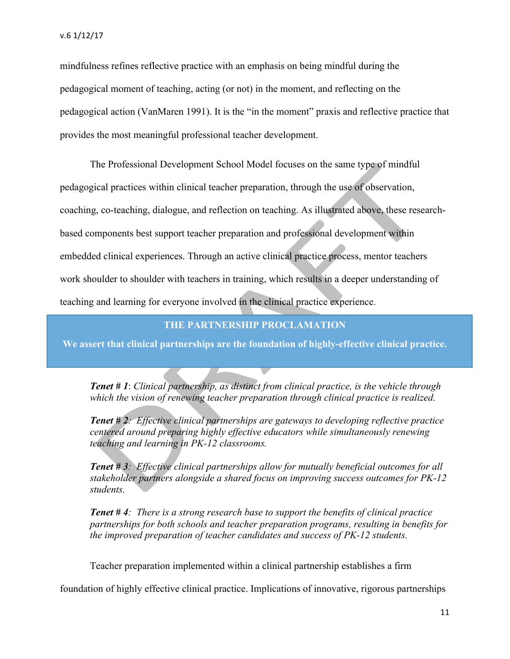mindfulness refines reflective practice with an emphasis on being mindful during the pedagogical moment of teaching, acting (or not) in the moment, and reflecting on the pedagogical action (VanMaren 1991). It is the "in the moment" praxis and reflective practice that provides the most meaningful professional teacher development.

The Professional Development School Model focuses on the same type of mindful pedagogical practices within clinical teacher preparation, through the use of observation, coaching, co-teaching, dialogue, and reflection on teaching. As illustrated above, these researchbased components best support teacher preparation and professional development within embedded clinical experiences. Through an active clinical practice process, mentor teachers work shoulder to shoulder with teachers in training, which results in a deeper understanding of teaching and learning for everyone involved in the clinical practice experience.

# **THE PARTNERSHIP PROCLAMATION**

**We assert that clinical partnerships are the foundation of highly-effective clinical practice.**

*Tenet # 1*: *Clinical partnership, as distinct from clinical practice, is the vehicle through which the vision of renewing teacher preparation through clinical practice is realized.*

*Tenet # 2: Effective clinical partnerships are gateways to developing reflective practice centered around preparing highly effective educators while simultaneously renewing teaching and learning in PK-12 classrooms.*

*Tenet # 3: Effective clinical partnerships allow for mutually beneficial outcomes for all stakeholder partners alongside a shared focus on improving success outcomes for PK-12 students.*

*Tenet # 4: There is a strong research base to support the benefits of clinical practice partnerships for both schools and teacher preparation programs, resulting in benefits for the improved preparation of teacher candidates and success of PK-12 students.*

Teacher preparation implemented within a clinical partnership establishes a firm

foundation of highly effective clinical practice. Implications of innovative, rigorous partnerships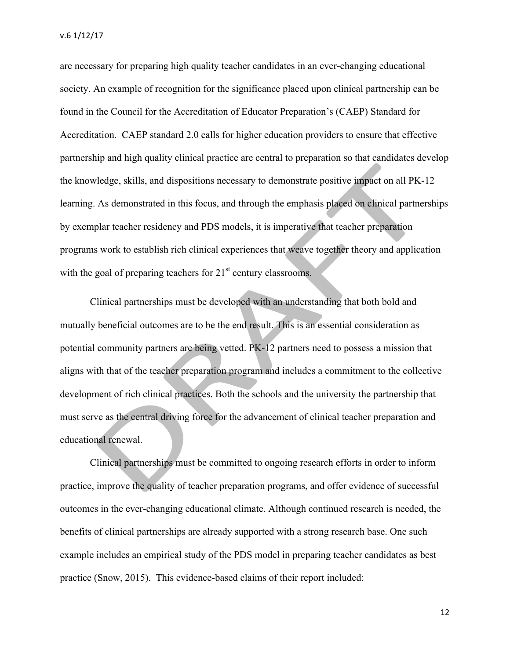v.6 1/12/17

are necessary for preparing high quality teacher candidates in an ever-changing educational society. An example of recognition for the significance placed upon clinical partnership can be found in the Council for the Accreditation of Educator Preparation's (CAEP) Standard for Accreditation. CAEP standard 2.0 calls for higher education providers to ensure that effective partnership and high quality clinical practice are central to preparation so that candidates develop the knowledge, skills, and dispositions necessary to demonstrate positive impact on all PK-12 learning. As demonstrated in this focus, and through the emphasis placed on clinical partnerships by exemplar teacher residency and PDS models, it is imperative that teacher preparation programs work to establish rich clinical experiences that weave together theory and application with the goal of preparing teachers for  $21<sup>st</sup>$  century classrooms.

Clinical partnerships must be developed with an understanding that both bold and mutually beneficial outcomes are to be the end result. This is an essential consideration as potential community partners are being vetted. PK-12 partners need to possess a mission that aligns with that of the teacher preparation program and includes a commitment to the collective development of rich clinical practices. Both the schools and the university the partnership that must serve as the central driving force for the advancement of clinical teacher preparation and educational renewal.

Clinical partnerships must be committed to ongoing research efforts in order to inform practice, improve the quality of teacher preparation programs, and offer evidence of successful outcomes in the ever-changing educational climate. Although continued research is needed, the benefits of clinical partnerships are already supported with a strong research base. One such example includes an empirical study of the PDS model in preparing teacher candidates as best practice (Snow, 2015). This evidence-based claims of their report included: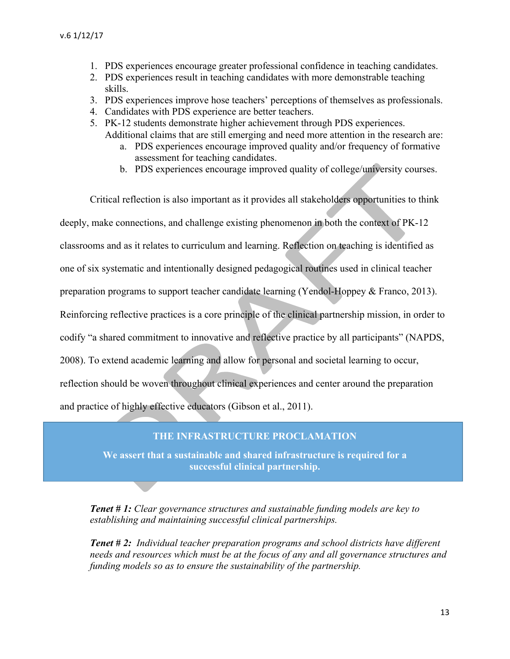- 1. PDS experiences encourage greater professional confidence in teaching candidates.
- 2. PDS experiences result in teaching candidates with more demonstrable teaching skills.
- 3. PDS experiences improve hose teachers' perceptions of themselves as professionals.
- 4. Candidates with PDS experience are better teachers.
- 5. PK-12 students demonstrate higher achievement through PDS experiences.
	- Additional claims that are still emerging and need more attention in the research are: a. PDS experiences encourage improved quality and/or frequency of formative
		- assessment for teaching candidates.
		- b. PDS experiences encourage improved quality of college/university courses.

Critical reflection is also important as it provides all stakeholders opportunities to think deeply, make connections, and challenge existing phenomenon in both the context of PK-12 classrooms and as it relates to curriculum and learning. Reflection on teaching is identified as one of six systematic and intentionally designed pedagogical routines used in clinical teacher preparation programs to support teacher candidate learning (Yendol-Hoppey & Franco, 2013). Reinforcing reflective practices is a core principle of the clinical partnership mission, in order to codify "a shared commitment to innovative and reflective practice by all participants" (NAPDS, 2008). To extend academic learning and allow for personal and societal learning to occur, reflection should be woven throughout clinical experiences and center around the preparation and practice of highly effective educators (Gibson et al., 2011).

#### **THE INFRASTRUCTURE PROCLAMATION**

**We assert that a sustainable and shared infrastructure is required for a successful clinical partnership.**

*Tenet # 1: Clear governance structures and sustainable funding models are key to establishing and maintaining successful clinical partnerships.*

*Tenet # 2: Individual teacher preparation programs and school districts have different needs and resources which must be at the focus of any and all governance structures and funding models so as to ensure the sustainability of the partnership.*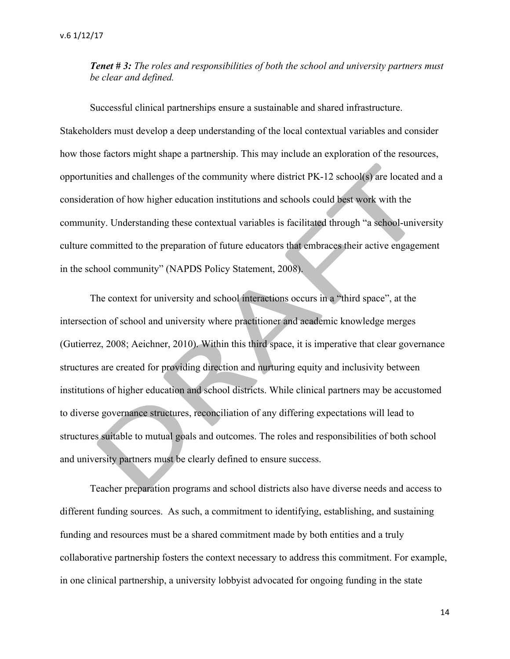*Tenet # 3: The roles and responsibilities of both the school and university partners must be clear and defined.*

Successful clinical partnerships ensure a sustainable and shared infrastructure. Stakeholders must develop a deep understanding of the local contextual variables and consider how those factors might shape a partnership. This may include an exploration of the resources, opportunities and challenges of the community where district PK-12 school(s) are located and a consideration of how higher education institutions and schools could best work with the community. Understanding these contextual variables is facilitated through "a school-university culture committed to the preparation of future educators that embraces their active engagement in the school community" (NAPDS Policy Statement, 2008).

The context for university and school interactions occurs in a "third space", at the intersection of school and university where practitioner and academic knowledge merges (Gutierrez, 2008; Aeichner, 2010). Within this third space, it is imperative that clear governance structures are created for providing direction and nurturing equity and inclusivity between institutions of higher education and school districts. While clinical partners may be accustomed to diverse governance structures, reconciliation of any differing expectations will lead to structures suitable to mutual goals and outcomes. The roles and responsibilities of both school and university partners must be clearly defined to ensure success.

Teacher preparation programs and school districts also have diverse needs and access to different funding sources. As such, a commitment to identifying, establishing, and sustaining funding and resources must be a shared commitment made by both entities and a truly collaborative partnership fosters the context necessary to address this commitment. For example, in one clinical partnership, a university lobbyist advocated for ongoing funding in the state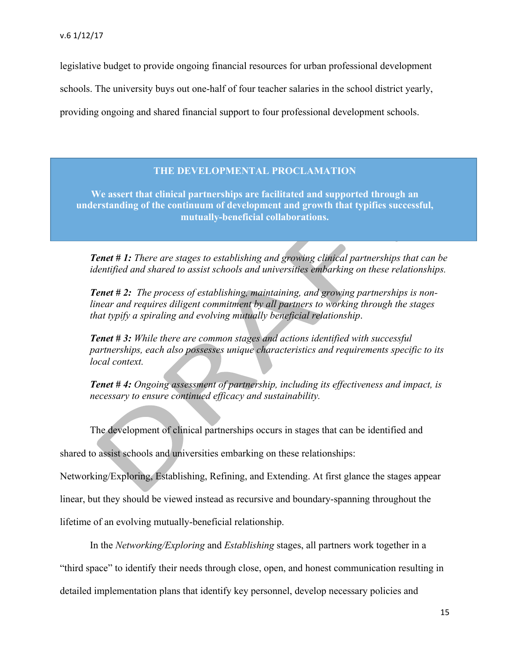legislative budget to provide ongoing financial resources for urban professional development

schools. The university buys out one-half of four teacher salaries in the school district yearly,

providing ongoing and shared financial support to four professional development schools.

#### **THE DEVELOPMENTAL PROCLAMATION**

**We assert that clinical partnerships are facilitated and supported through an understanding of the continuum of development and growth that typifies successful, mutually-beneficial collaborations.**

*Tenet* **#1:** *There are stages to establishing and growing clinical partnerships that can be identified and shared to assist schools and universities embarking on these relationships.*

*Tenet # 2: The process of establishing, maintaining, and growing partnerships is nonlinear and requires diligent commitment by all partners to working through the stages that typify a spiraling and evolving mutually beneficial relationship*.

*Tenet # 3: While there are common stages and actions identified with successful partnerships, each also possesses unique characteristics and requirements specific to its local context.*

*Tenet # 4: Ongoing assessment of partnership, including its effectiveness and impact, is necessary to ensure continued efficacy and sustainability.*

The development of clinical partnerships occurs in stages that can be identified and

shared to assist schools and universities embarking on these relationships:

Networking/Exploring, Establishing, Refining, and Extending. At first glance the stages appear

linear, but they should be viewed instead as recursive and boundary-spanning throughout the

lifetime of an evolving mutually-beneficial relationship.

In the *Networking/Exploring* and *Establishing* stages, all partners work together in a "third space" to identify their needs through close, open, and honest communication resulting in detailed implementation plans that identify key personnel, develop necessary policies and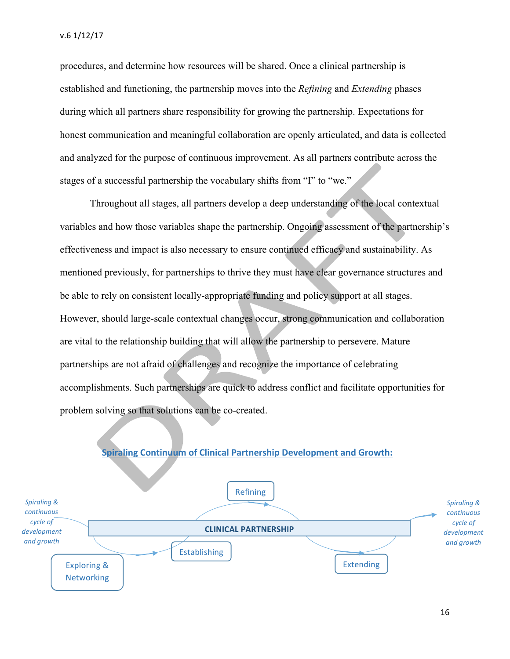procedures, and determine how resources will be shared. Once a clinical partnership is established and functioning, the partnership moves into the *Refining* and *Extending* phases during which all partners share responsibility for growing the partnership. Expectations for honest communication and meaningful collaboration are openly articulated, and data is collected and analyzed for the purpose of continuous improvement. As all partners contribute across the stages of a successful partnership the vocabulary shifts from "I" to "we."

Throughout all stages, all partners develop a deep understanding of the local contextual variables and how those variables shape the partnership. Ongoing assessment of the partnership's effectiveness and impact is also necessary to ensure continued efficacy and sustainability. As mentioned previously, for partnerships to thrive they must have clear governance structures and be able to rely on consistent locally-appropriate funding and policy support at all stages. However, should large-scale contextual changes occur, strong communication and collaboration are vital to the relationship building that will allow the partnership to persevere. Mature partnerships are not afraid of challenges and recognize the importance of celebrating accomplishments. Such partnerships are quick to address conflict and facilitate opportunities for problem solving so that solutions can be co-created.



## **Spiraling Continuum of Clinical Partnership Development and Growth:**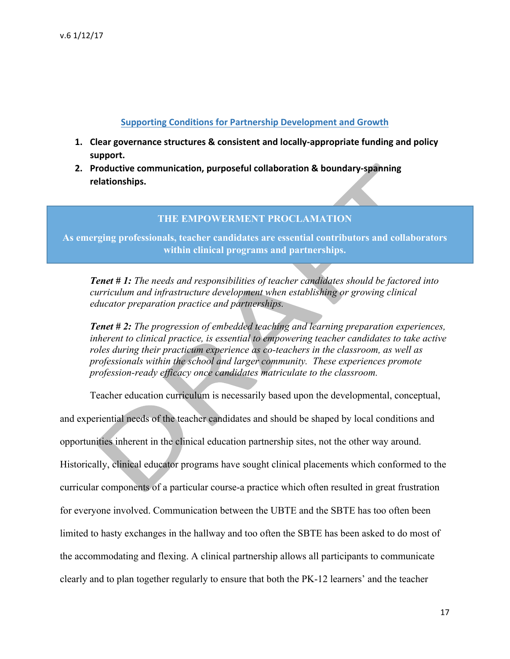#### **Supporting Conditions for Partnership Development and Growth**

- **1.** Clear governance structures & consistent and locally-appropriate funding and policy **support.**
- **2.** Productive communication, purposeful collaboration & boundary-spanning **relationships.**

#### **THE EMPOWERMENT PROCLAMATION**

**As emerging professionals, teacher candidates are essential contributors and collaborators within clinical programs and partnerships.**

*Tenet # 1: The needs and responsibilities of teacher candidates should be factored into curriculum and infrastructure development when establishing or growing clinical educator preparation practice and partnerships.*

*Tenet # 2: The progression of embedded teaching and learning preparation experiences, inherent to clinical practice, is essential to empowering teacher candidates to take active roles during their practicum experience as co-teachers in the classroom, as well as professionals within the school and larger community. These experiences promote profession-ready efficacy once candidates matriculate to the classroom.*

Teacher education curriculum is necessarily based upon the developmental, conceptual,

and experiential needs of the teacher candidates and should be shaped by local conditions and opportunities inherent in the clinical education partnership sites, not the other way around. Historically, clinical educator programs have sought clinical placements which conformed to the curricular components of a particular course-a practice which often resulted in great frustration for everyone involved. Communication between the UBTE and the SBTE has too often been limited to hasty exchanges in the hallway and too often the SBTE has been asked to do most of the accommodating and flexing. A clinical partnership allows all participants to communicate clearly and to plan together regularly to ensure that both the PK-12 learners' and the teacher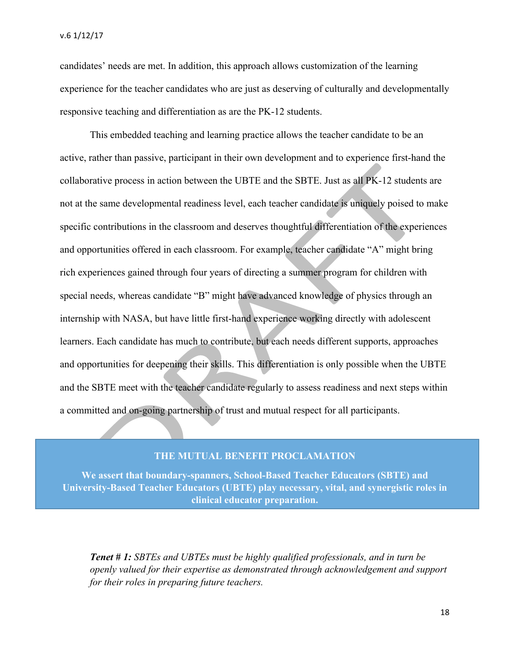candidates' needs are met. In addition, this approach allows customization of the learning experience for the teacher candidates who are just as deserving of culturally and developmentally responsive teaching and differentiation as are the PK-12 students.

This embedded teaching and learning practice allows the teacher candidate to be an active, rather than passive, participant in their own development and to experience first-hand the collaborative process in action between the UBTE and the SBTE. Just as all PK-12 students are not at the same developmental readiness level, each teacher candidate is uniquely poised to make specific contributions in the classroom and deserves thoughtful differentiation of the experiences and opportunities offered in each classroom. For example, teacher candidate "A" might bring rich experiences gained through four years of directing a summer program for children with special needs, whereas candidate "B" might have advanced knowledge of physics through an internship with NASA, but have little first-hand experience working directly with adolescent learners. Each candidate has much to contribute, but each needs different supports, approaches and opportunities for deepening their skills. This differentiation is only possible when the UBTE and the SBTE meet with the teacher candidate regularly to assess readiness and next steps within a committed and on-going partnership of trust and mutual respect for all participants.

#### **THE MUTUAL BENEFIT PROCLAMATION**

**We assert that boundary-spanners, School-Based Teacher Educators (SBTE) and University-Based Teacher Educators (UBTE) play necessary, vital, and synergistic roles in clinical educator preparation.**

*Tenet # 1: SBTEs and UBTEs must be highly qualified professionals, and in turn be openly valued for their expertise as demonstrated through acknowledgement and support for their roles in preparing future teachers.*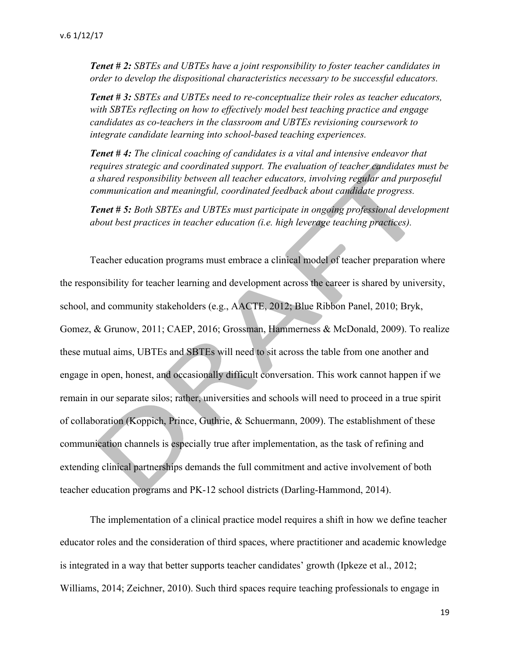*Tenet # 2: SBTEs and UBTEs have a joint responsibility to foster teacher candidates in order to develop the dispositional characteristics necessary to be successful educators.*

*Tenet # 3: SBTEs and UBTEs need to re-conceptualize their roles as teacher educators, with SBTEs reflecting on how to effectively model best teaching practice and engage candidates as co-teachers in the classroom and UBTEs revisioning coursework to integrate candidate learning into school-based teaching experiences.* 

*Tenet # 4: The clinical coaching of candidates is a vital and intensive endeavor that requires strategic and coordinated support. The evaluation of teacher candidates must be a shared responsibility between all teacher educators, involving regular and purposeful communication and meaningful, coordinated feedback about candidate progress.* 

*Tenet # 5: Both SBTEs and UBTEs must participate in ongoing professional development about best practices in teacher education (i.e. high leverage teaching practices).* 

Teacher education programs must embrace a clinical model of teacher preparation where the responsibility for teacher learning and development across the career is shared by university, school, and community stakeholders (e.g., AACTE, 2012; Blue Ribbon Panel, 2010; Bryk, Gomez, & Grunow, 2011; CAEP, 2016; Grossman, Hammerness & McDonald, 2009). To realize these mutual aims, UBTEs and SBTEs will need to sit across the table from one another and engage in open, honest, and occasionally difficult conversation. This work cannot happen if we remain in our separate silos; rather, universities and schools will need to proceed in a true spirit of collaboration (Koppich, Prince, Guthrie, & Schuermann, 2009). The establishment of these communication channels is especially true after implementation, as the task of refining and extending clinical partnerships demands the full commitment and active involvement of both teacher education programs and PK-12 school districts (Darling-Hammond, 2014).

The implementation of a clinical practice model requires a shift in how we define teacher educator roles and the consideration of third spaces, where practitioner and academic knowledge is integrated in a way that better supports teacher candidates' growth (Ipkeze et al., 2012; Williams, 2014; Zeichner, 2010). Such third spaces require teaching professionals to engage in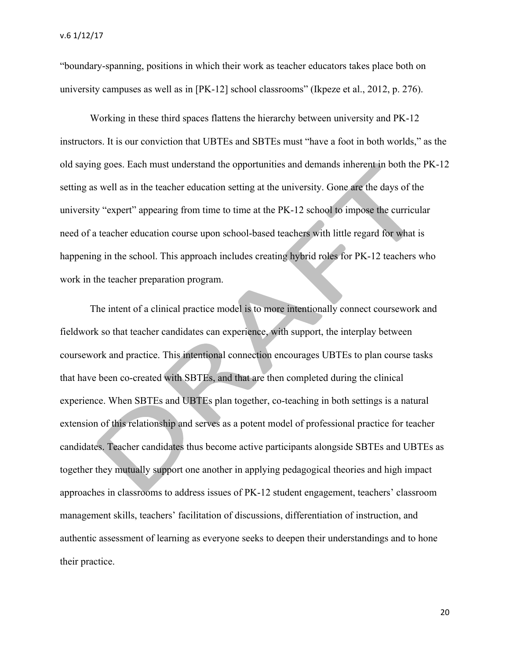"boundary-spanning, positions in which their work as teacher educators takes place both on university campuses as well as in [PK-12] school classrooms" (Ikpeze et al., 2012, p. 276).

Working in these third spaces flattens the hierarchy between university and PK-12 instructors. It is our conviction that UBTEs and SBTEs must "have a foot in both worlds," as the old saying goes. Each must understand the opportunities and demands inherent in both the PK-12 setting as well as in the teacher education setting at the university. Gone are the days of the university "expert" appearing from time to time at the PK-12 school to impose the curricular need of a teacher education course upon school-based teachers with little regard for what is happening in the school. This approach includes creating hybrid roles for PK-12 teachers who work in the teacher preparation program.

The intent of a clinical practice model is to more intentionally connect coursework and fieldwork so that teacher candidates can experience, with support, the interplay between coursework and practice. This intentional connection encourages UBTEs to plan course tasks that have been co-created with SBTEs, and that are then completed during the clinical experience. When SBTEs and UBTEs plan together, co-teaching in both settings is a natural extension of this relationship and serves as a potent model of professional practice for teacher candidates. Teacher candidates thus become active participants alongside SBTEs and UBTEs as together they mutually support one another in applying pedagogical theories and high impact approaches in classrooms to address issues of PK-12 student engagement, teachers' classroom management skills, teachers' facilitation of discussions, differentiation of instruction, and authentic assessment of learning as everyone seeks to deepen their understandings and to hone their practice.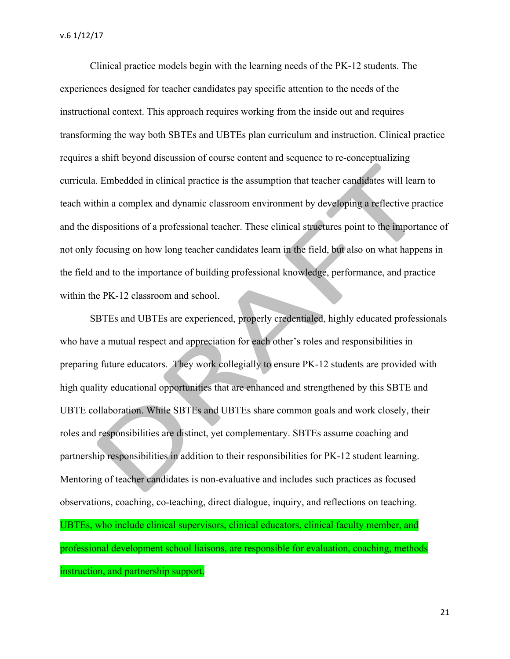Clinical practice models begin with the learning needs of the PK-12 students. The experiences designed for teacher candidates pay specific attention to the needs of the instructional context. This approach requires working from the inside out and requires transforming the way both SBTEs and UBTEs plan curriculum and instruction. Clinical practice requires a shift beyond discussion of course content and sequence to re-conceptualizing curricula. Embedded in clinical practice is the assumption that teacher candidates will learn to teach within a complex and dynamic classroom environment by developing a reflective practice and the dispositions of a professional teacher. These clinical structures point to the importance of not only focusing on how long teacher candidates learn in the field, but also on what happens in the field and to the importance of building professional knowledge, performance, and practice within the PK-12 classroom and school.

SBTEs and UBTEs are experienced, properly credentialed, highly educated professionals who have a mutual respect and appreciation for each other's roles and responsibilities in preparing future educators. They work collegially to ensure PK-12 students are provided with high quality educational opportunities that are enhanced and strengthened by this SBTE and UBTE collaboration. While SBTEs and UBTEs share common goals and work closely, their roles and responsibilities are distinct, yet complementary. SBTEs assume coaching and partnership responsibilities in addition to their responsibilities for PK-12 student learning. Mentoring of teacher candidates is non-evaluative and includes such practices as focused observations, coaching, co-teaching, direct dialogue, inquiry, and reflections on teaching. UBTEs, who include clinical supervisors, clinical educators, clinical faculty member, and professional development school liaisons, are responsible for evaluation, coaching, methods instruction, and partnership support.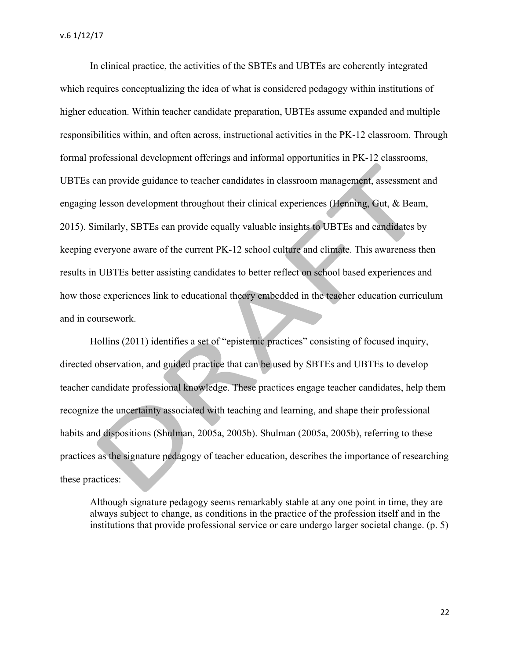In clinical practice, the activities of the SBTEs and UBTEs are coherently integrated which requires conceptualizing the idea of what is considered pedagogy within institutions of higher education. Within teacher candidate preparation, UBTEs assume expanded and multiple responsibilities within, and often across, instructional activities in the PK-12 classroom. Through formal professional development offerings and informal opportunities in PK-12 classrooms, UBTEs can provide guidance to teacher candidates in classroom management, assessment and engaging lesson development throughout their clinical experiences (Henning, Gut, & Beam, 2015). Similarly, SBTEs can provide equally valuable insights to UBTEs and candidates by keeping everyone aware of the current PK-12 school culture and climate. This awareness then results in UBTEs better assisting candidates to better reflect on school based experiences and how those experiences link to educational theory embedded in the teacher education curriculum and in coursework.

Hollins (2011) identifies a set of "epistemic practices" consisting of focused inquiry, directed observation, and guided practice that can be used by SBTEs and UBTEs to develop teacher candidate professional knowledge. These practices engage teacher candidates, help them recognize the uncertainty associated with teaching and learning, and shape their professional habits and dispositions (Shulman, 2005a, 2005b). Shulman (2005a, 2005b), referring to these practices as the signature pedagogy of teacher education, describes the importance of researching these practices:

Although signature pedagogy seems remarkably stable at any one point in time, they are always subject to change, as conditions in the practice of the profession itself and in the institutions that provide professional service or care undergo larger societal change. (p. 5)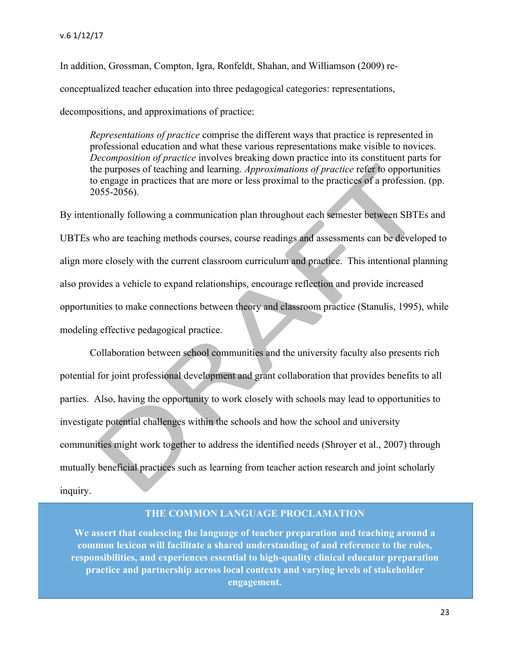In addition, Grossman, Compton, Igra, Ronfeldt, Shahan, and Williamson (2009) reconceptualized teacher education into three pedagogical categories: representations, decompositions, and approximations of practice:

*Representations of practice* comprise the different ways that practice is represented in professional education and what these various representations make visible to novices. *Decomposition of practice* involves breaking down practice into its constituent parts for the purposes of teaching and learning. *Approximations of practice* refer to opportunities to engage in practices that are more or less proximal to the practices of a profession. (pp. 2055-2056).

By intentionally following a communication plan throughout each semester between SBTEs and UBTEs who are teaching methods courses, course readings and assessments can be developed to align more closely with the current classroom curriculum and practice. This intentional planning also provides a vehicle to expand relationships, encourage reflection and provide increased opportunities to make connections between theory and classroom practice (Stanulis, 1995), while modeling effective pedagogical practice.

Collaboration between school communities and the university faculty also presents rich potential for joint professional development and grant collaboration that provides benefits to all parties. Also, having the opportunity to work closely with schools may lead to opportunities to investigate potential challenges within the schools and how the school and university communities might work together to address the identified needs (Shroyer et al., 2007) through mutually beneficial practices such as learning from teacher action research and joint scholarly inquiry.

#### **THE COMMON LANGUAGE PROCLAMATION**

**We assert that coalescing the language of teacher preparation and teaching around a common lexicon will facilitate a shared understanding of and reference to the roles, responsibilities, and experiences essential to high-quality clinical educator preparation practice and partnership across local contexts and varying levels of stakeholder engagement.**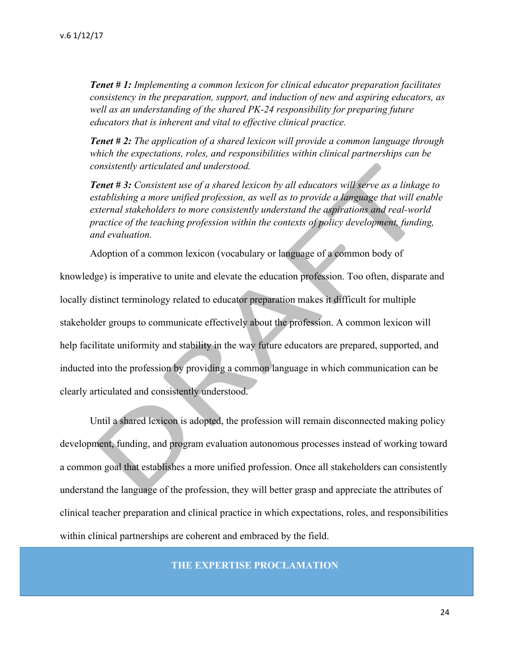*Tenet # 1: Implementing a common lexicon for clinical educator preparation facilitates consistency in the preparation, support, and induction of new and aspiring educators, as*  well as an understanding of the shared PK-24 responsibility for preparing future *educators that is inherent and vital to effective clinical practice.*

*Tenet # 2: The application of a shared lexicon will provide a common language through which the expectations, roles, and responsibilities within clinical partnerships can be consistently articulated and understood.*

*Tenet # 3: Consistent use of a shared lexicon by all educators will serve as a linkage to establishing a more unified profession, as well as to provide a language that will enable external stakeholders to more consistently understand the aspirations and real-world practice of the teaching profession within the contexts of policy development, funding, and evaluation.*

Adoption of a common lexicon (vocabulary or language of a common body of

knowledge) is imperative to unite and elevate the education profession. Too often, disparate and locally distinct terminology related to educator preparation makes it difficult for multiple stakeholder groups to communicate effectively about the profession. A common lexicon will help facilitate uniformity and stability in the way future educators are prepared, supported, and inducted into the profession by providing a common language in which communication can be clearly articulated and consistently understood.

Until a shared lexicon is adopted, the profession will remain disconnected making policy development, funding, and program evaluation autonomous processes instead of working toward a common goal that establishes a more unified profession. Once all stakeholders can consistently understand the language of the profession, they will better grasp and appreciate the attributes of clinical teacher preparation and clinical practice in which expectations, roles, and responsibilities within clinical partnerships are coherent and embraced by the field.

**THE EXPERTISE PROCLAMATION**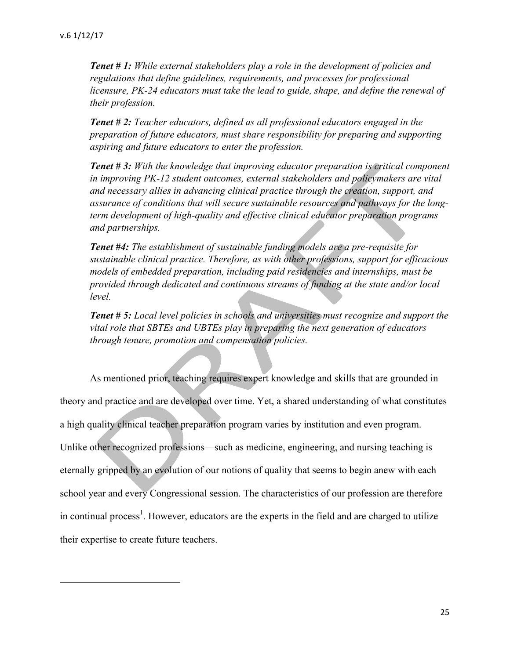*Tenet # 1: While external stakeholders play a role in the development of policies and regulations that define guidelines, requirements, and processes for professional licensure, PK-24 educators must take the lead to guide, shape, and define the renewal of their profession.*

*Tenet # 2: Teacher educators, defined as all professional educators engaged in the preparation of future educators, must share responsibility for preparing and supporting aspiring and future educators to enter the profession.*

*Tenet # 3: With the knowledge that improving educator preparation is critical component in improving PK-12 student outcomes, external stakeholders and policymakers are vital and necessary allies in advancing clinical practice through the creation, support, and assurance of conditions that will secure sustainable resources and pathways for the longterm development of high-quality and effective clinical educator preparation programs and partnerships.*

*Tenet #4: The establishment of sustainable funding models are a pre-requisite for sustainable clinical practice. Therefore, as with other professions, support for efficacious models of embedded preparation, including paid residencies and internships, must be provided through dedicated and continuous streams of funding at the state and/or local level.*

*Tenet # 5: Local level policies in schools and universities must recognize and support the vital role that SBTEs and UBTEs play in preparing the next generation of educators through tenure, promotion and compensation policies.*

As mentioned prior, teaching requires expert knowledge and skills that are grounded in theory and practice and are developed over time. Yet, a shared understanding of what constitutes a high quality clinical teacher preparation program varies by institution and even program. Unlike other recognized professions—such as medicine, engineering, and nursing teaching is eternally gripped by an evolution of our notions of quality that seems to begin anew with each school year and every Congressional session. The characteristics of our profession are therefore in continual process<sup>1</sup>. However, educators are the experts in the field and are charged to utilize their expertise to create future teachers.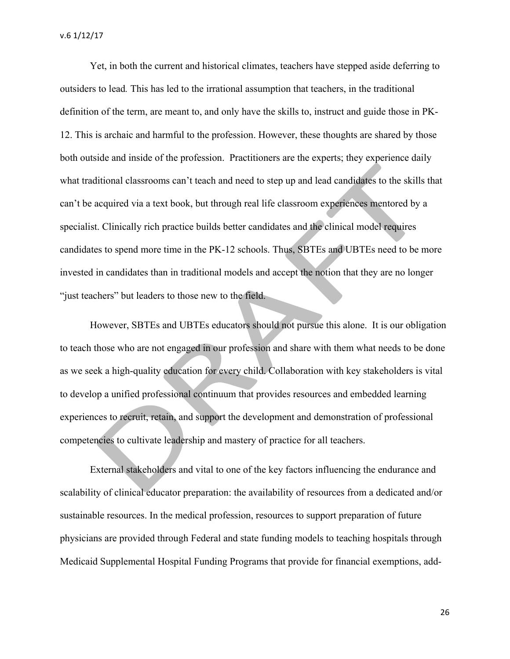Yet, in both the current and historical climates, teachers have stepped aside deferring to outsiders to lead*.* This has led to the irrational assumption that teachers, in the traditional definition of the term, are meant to, and only have the skills to, instruct and guide those in PK-12. This is archaic and harmful to the profession. However, these thoughts are shared by those both outside and inside of the profession. Practitioners are the experts; they experience daily what traditional classrooms can't teach and need to step up and lead candidates to the skills that can't be acquired via a text book, but through real life classroom experiences mentored by a specialist. Clinically rich practice builds better candidates and the clinical model requires candidates to spend more time in the PK-12 schools. Thus, SBTEs and UBTEs need to be more invested in candidates than in traditional models and accept the notion that they are no longer "just teachers" but leaders to those new to the field.

However, SBTEs and UBTEs educators should not pursue this alone. It is our obligation to teach those who are not engaged in our profession and share with them what needs to be done as we seek a high-quality education for every child. Collaboration with key stakeholders is vital to develop a unified professional continuum that provides resources and embedded learning experiences to recruit, retain, and support the development and demonstration of professional competencies to cultivate leadership and mastery of practice for all teachers.

External stakeholders and vital to one of the key factors influencing the endurance and scalability of clinical educator preparation: the availability of resources from a dedicated and/or sustainable resources. In the medical profession, resources to support preparation of future physicians are provided through Federal and state funding models to teaching hospitals through Medicaid Supplemental Hospital Funding Programs that provide for financial exemptions, add-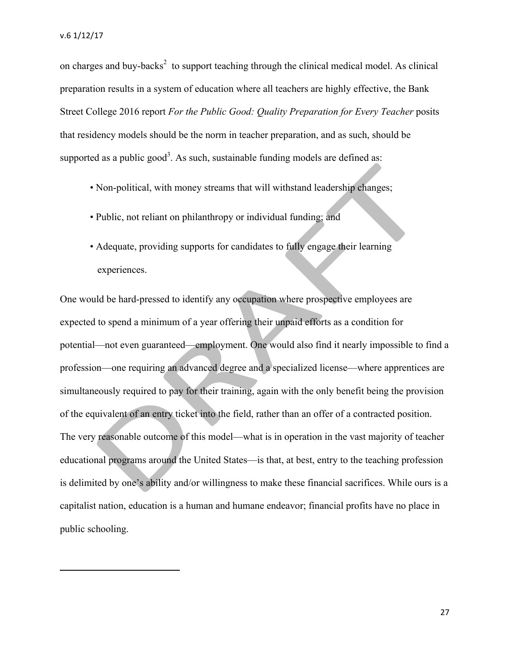on charges and buy-backs<sup>2</sup> to support teaching through the clinical medical model. As clinical preparation results in a system of education where all teachers are highly effective, the Bank Street College 2016 report *For the Public Good: Quality Preparation for Every Teacher* posits that residency models should be the norm in teacher preparation, and as such, should be supported as a public good<sup>3</sup>. As such, sustainable funding models are defined as:

- Non-political, with money streams that will withstand leadership changes;
- Public, not reliant on philanthropy or individual funding; and
- Adequate, providing supports for candidates to fully engage their learning experiences.

One would be hard-pressed to identify any occupation where prospective employees are expected to spend a minimum of a year offering their unpaid efforts as a condition for potential—not even guaranteed—employment. One would also find it nearly impossible to find a profession—one requiring an advanced degree and a specialized license—where apprentices are simultaneously required to pay for their training, again with the only benefit being the provision of the equivalent of an entry ticket into the field, rather than an offer of a contracted position. The very reasonable outcome of this model—what is in operation in the vast majority of teacher educational programs around the United States—is that, at best, entry to the teaching profession is delimited by one's ability and/or willingness to make these financial sacrifices. While ours is a capitalist nation, education is a human and humane endeavor; financial profits have no place in public schooling.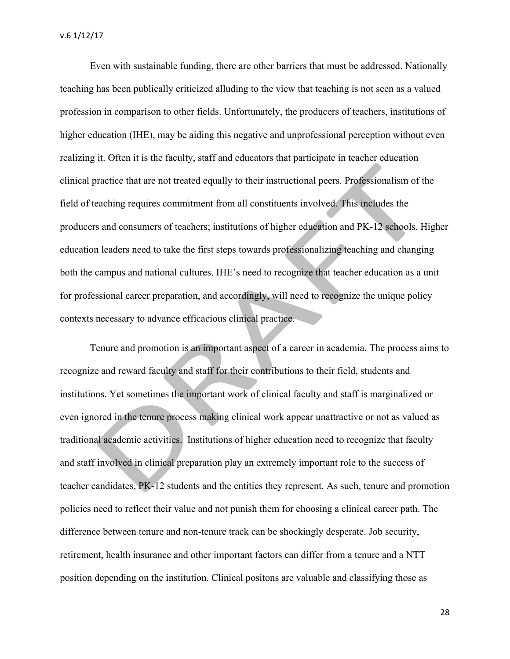Even with sustainable funding, there are other barriers that must be addressed. Nationally teaching has been publically criticized alluding to the view that teaching is not seen as a valued profession in comparison to other fields. Unfortunately, the producers of teachers, institutions of higher education (IHE), may be aiding this negative and unprofessional perception without even realizing it. Often it is the faculty, staff and educators that participate in teacher education clinical practice that are not treated equally to their instructional peers. Professionalism of the field of teaching requires commitment from all constituents involved. This includes the producers and consumers of teachers; institutions of higher education and PK-12 schools. Higher education leaders need to take the first steps towards professionalizing teaching and changing both the campus and national cultures. IHE's need to recognize that teacher education as a unit for professional career preparation, and accordingly, will need to recognize the unique policy contexts necessary to advance efficacious clinical practice.

Tenure and promotion is an important aspect of a career in academia. The process aims to recognize and reward faculty and staff for their contributions to their field, students and institutions. Yet sometimes the important work of clinical faculty and staff is marginalized or even ignored in the tenure process making clinical work appear unattractive or not as valued as traditional academic activities. Institutions of higher education need to recognize that faculty and staff involved in clinical preparation play an extremely important role to the success of teacher candidates, PK-12 students and the entities they represent. As such, tenure and promotion policies need to reflect their value and not punish them for choosing a clinical career path. The difference between tenure and non-tenure track can be shockingly desperate. Job security, retirement, health insurance and other important factors can differ from a tenure and a NTT position depending on the institution. Clinical positons are valuable and classifying those as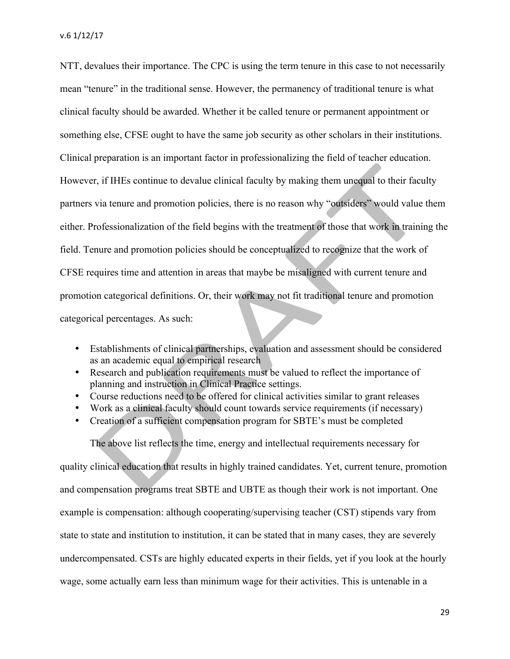v.6 1/12/17

NTT, devalues their importance. The CPC is using the term tenure in this case to not necessarily mean "tenure" in the traditional sense. However, the permanency of traditional tenure is what clinical faculty should be awarded. Whether it be called tenure or permanent appointment or something else, CFSE ought to have the same job security as other scholars in their institutions. Clinical preparation is an important factor in professionalizing the field of teacher education. However, if IHEs continue to devalue clinical faculty by making them unequal to their faculty partners via tenure and promotion policies, there is no reason why "outsiders" would value them either. Professionalization of the field begins with the treatment of those that work in training the field. Tenure and promotion policies should be conceptualized to recognize that the work of CFSE requires time and attention in areas that maybe be misaligned with current tenure and promotion categorical definitions. Or, their work may not fit traditional tenure and promotion categorical percentages. As such:

- Establishments of clinical partnerships, evaluation and assessment should be considered as an academic equal to empirical research
- Research and publication requirements must be valued to reflect the importance of planning and instruction in Clinical Practice settings.
- Course reductions need to be offered for clinical activities similar to grant releases
- Work as a clinical faculty should count towards service requirements (if necessary)
- Creation of a sufficient compensation program for SBTE's must be completed

The above list reflects the time, energy and intellectual requirements necessary for

quality clinical education that results in highly trained candidates. Yet, current tenure, promotion and compensation programs treat SBTE and UBTE as though their work is not important. One example is compensation: although cooperating/supervising teacher (CST) stipends vary from state to state and institution to institution, it can be stated that in many cases, they are severely undercompensated. CSTs are highly educated experts in their fields, yet if you look at the hourly wage, some actually earn less than minimum wage for their activities. This is untenable in a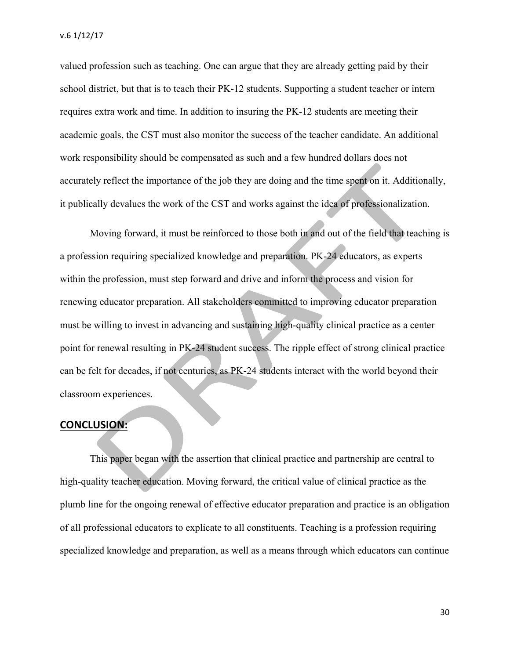valued profession such as teaching. One can argue that they are already getting paid by their school district, but that is to teach their PK-12 students. Supporting a student teacher or intern requires extra work and time. In addition to insuring the PK-12 students are meeting their academic goals, the CST must also monitor the success of the teacher candidate. An additional work responsibility should be compensated as such and a few hundred dollars does not accurately reflect the importance of the job they are doing and the time spent on it. Additionally, it publically devalues the work of the CST and works against the idea of professionalization.

Moving forward, it must be reinforced to those both in and out of the field that teaching is a profession requiring specialized knowledge and preparation. PK-24 educators, as experts within the profession, must step forward and drive and inform the process and vision for renewing educator preparation. All stakeholders committed to improving educator preparation must be willing to invest in advancing and sustaining high-quality clinical practice as a center point for renewal resulting in PK-24 student success. The ripple effect of strong clinical practice can be felt for decades, if not centuries, as PK-24 students interact with the world beyond their classroom experiences.

#### **CONCLUSION:**

This paper began with the assertion that clinical practice and partnership are central to high-quality teacher education. Moving forward, the critical value of clinical practice as the plumb line for the ongoing renewal of effective educator preparation and practice is an obligation of all professional educators to explicate to all constituents. Teaching is a profession requiring specialized knowledge and preparation, as well as a means through which educators can continue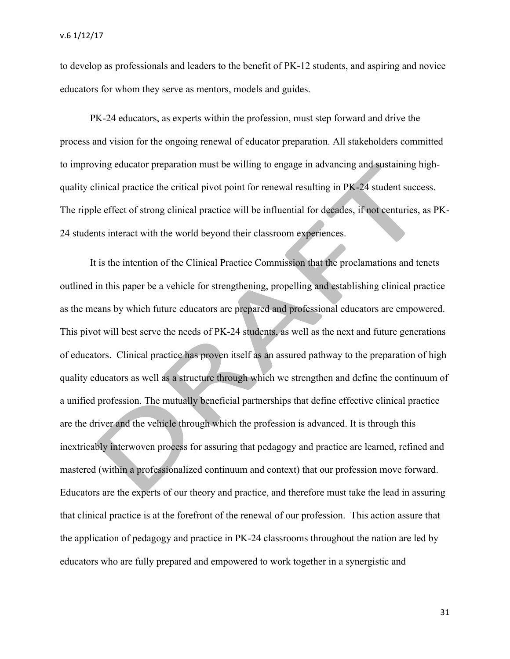to develop as professionals and leaders to the benefit of PK-12 students, and aspiring and novice educators for whom they serve as mentors, models and guides.

PK-24 educators, as experts within the profession, must step forward and drive the process and vision for the ongoing renewal of educator preparation. All stakeholders committed to improving educator preparation must be willing to engage in advancing and sustaining highquality clinical practice the critical pivot point for renewal resulting in PK-24 student success. The ripple effect of strong clinical practice will be influential for decades, if not centuries, as PK-24 students interact with the world beyond their classroom experiences.

It is the intention of the Clinical Practice Commission that the proclamations and tenets outlined in this paper be a vehicle for strengthening, propelling and establishing clinical practice as the means by which future educators are prepared and professional educators are empowered. This pivot will best serve the needs of PK-24 students, as well as the next and future generations of educators. Clinical practice has proven itself as an assured pathway to the preparation of high quality educators as well as a structure through which we strengthen and define the continuum of a unified profession. The mutually beneficial partnerships that define effective clinical practice are the driver and the vehicle through which the profession is advanced. It is through this inextricably interwoven process for assuring that pedagogy and practice are learned, refined and mastered (within a professionalized continuum and context) that our profession move forward. Educators are the experts of our theory and practice, and therefore must take the lead in assuring that clinical practice is at the forefront of the renewal of our profession. This action assure that the application of pedagogy and practice in PK-24 classrooms throughout the nation are led by educators who are fully prepared and empowered to work together in a synergistic and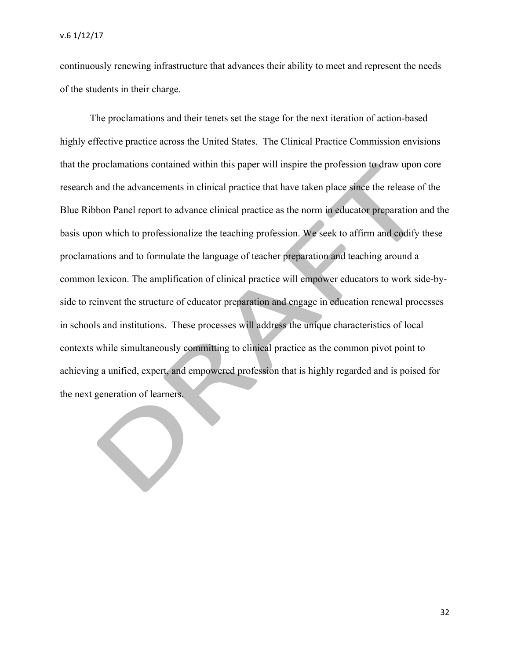$\begin{pmatrix} 1 \\ 2 \end{pmatrix}$ 

continuously renewing infrastructure that advances their ability to meet and represent the needs of the students in their charge.

The proclamations and their tenets set the stage for the next iteration of action-based highly effective practice across the United States. The Clinical Practice Commission envisions that the proclamations contained within this paper will inspire the profession to draw upon core research and the advancements in clinical practice that have taken place since the release of the Blue Ribbon Panel report to advance clinical practice as the norm in educator preparation and the basis upon which to professionalize the teaching profession. We seek to affirm and codify these proclamations and to formulate the language of teacher preparation and teaching around a common lexicon. The amplification of clinical practice will empower educators to work side-byside to reinvent the structure of educator preparation and engage in education renewal processes in schools and institutions. These processes will address the unique characteristics of local contexts while simultaneously committing to clinical practice as the common pivot point to achieving a unified, expert, and empowered profession that is highly regarded and is poised for the next generation of learners.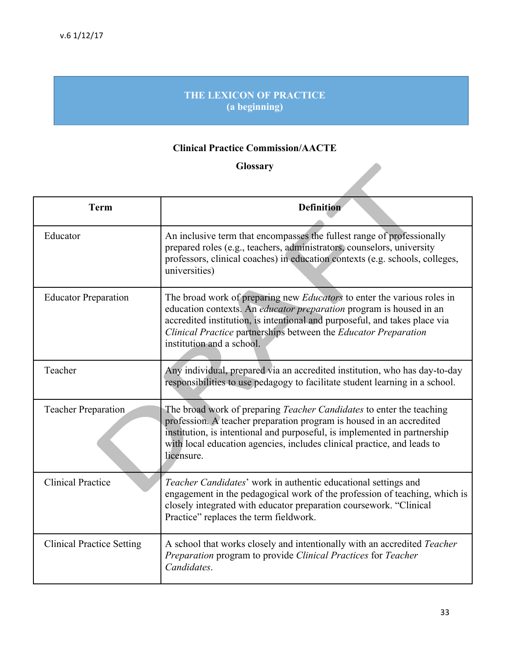# **THE LEXICON OF PRACTICE (a beginning)**

# **Clinical Practice Commission/AACTE**

# **Glossary**

| <b>Glossary</b>                  |                                                                                                                                                                                                                                                                                                                                            |  |
|----------------------------------|--------------------------------------------------------------------------------------------------------------------------------------------------------------------------------------------------------------------------------------------------------------------------------------------------------------------------------------------|--|
| <b>Term</b>                      | <b>Definition</b>                                                                                                                                                                                                                                                                                                                          |  |
| Educator                         | An inclusive term that encompasses the fullest range of professionally<br>prepared roles (e.g., teachers, administrators, counselors, university<br>professors, clinical coaches) in education contexts (e.g. schools, colleges,<br>universities)                                                                                          |  |
| <b>Educator Preparation</b>      | The broad work of preparing new <i>Educators</i> to enter the various roles in<br>education contexts. An <i>educator preparation</i> program is housed in an<br>accredited institution, is intentional and purposeful, and takes place via<br>Clinical Practice partnerships between the Educator Preparation<br>institution and a school. |  |
| Teacher                          | Any individual, prepared via an accredited institution, who has day-to-day<br>responsibilities to use pedagogy to facilitate student learning in a school.                                                                                                                                                                                 |  |
| Teacher Preparation              | The broad work of preparing <i>Teacher Candidates</i> to enter the teaching<br>profession. A teacher preparation program is housed in an accredited<br>institution, is intentional and purposeful, is implemented in partnership<br>with local education agencies, includes clinical practice, and leads to<br>licensure.                  |  |
| <b>Clinical Practice</b>         | Teacher Candidates' work in authentic educational settings and<br>engagement in the pedagogical work of the profession of teaching, which is<br>closely integrated with educator preparation coursework. "Clinical<br>Practice" replaces the term fieldwork.                                                                               |  |
| <b>Clinical Practice Setting</b> | A school that works closely and intentionally with an accredited Teacher<br>Preparation program to provide Clinical Practices for Teacher<br>Candidates.                                                                                                                                                                                   |  |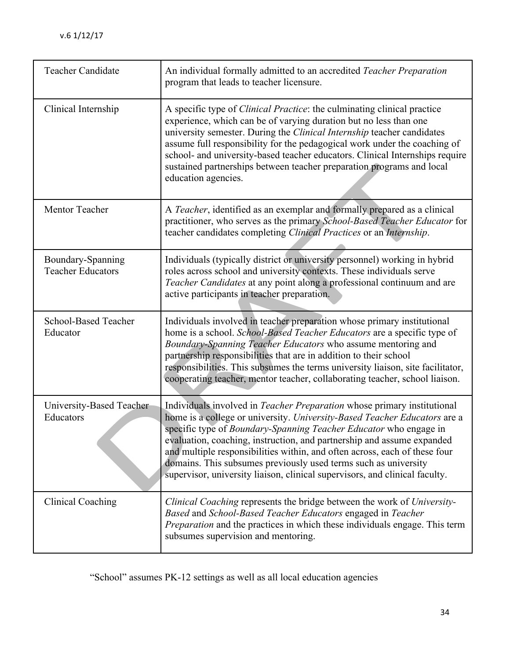| <b>Teacher Candidate</b>                      | An individual formally admitted to an accredited Teacher Preparation<br>program that leads to teacher licensure.                                                                                                                                                                                                                                                                                                                                                                                                                           |
|-----------------------------------------------|--------------------------------------------------------------------------------------------------------------------------------------------------------------------------------------------------------------------------------------------------------------------------------------------------------------------------------------------------------------------------------------------------------------------------------------------------------------------------------------------------------------------------------------------|
| Clinical Internship                           | A specific type of <i>Clinical Practice</i> : the culminating clinical practice<br>experience, which can be of varying duration but no less than one<br>university semester. During the Clinical Internship teacher candidates<br>assume full responsibility for the pedagogical work under the coaching of<br>school- and university-based teacher educators. Clinical Internships require<br>sustained partnerships between teacher preparation programs and local<br>education agencies.                                                |
| Mentor Teacher                                | A Teacher, identified as an exemplar and formally prepared as a clinical<br>practitioner, who serves as the primary School-Based Teacher Educator for<br>teacher candidates completing Clinical Practices or an Internship.                                                                                                                                                                                                                                                                                                                |
| Boundary-Spanning<br><b>Teacher Educators</b> | Individuals (typically district or university personnel) working in hybrid<br>roles across school and university contexts. These individuals serve<br>Teacher Candidates at any point along a professional continuum and are<br>active participants in teacher preparation.                                                                                                                                                                                                                                                                |
| <b>School-Based Teacher</b><br>Educator       | Individuals involved in teacher preparation whose primary institutional<br>home is a school. School-Based Teacher Educators are a specific type of<br>Boundary-Spanning Teacher Educators who assume mentoring and<br>partnership responsibilities that are in addition to their school<br>responsibilities. This subsumes the terms university liaison, site facilitator,<br>cooperating teacher, mentor teacher, collaborating teacher, school liaison.                                                                                  |
| University-Based Teacher<br>Educators         | Individuals involved in <i>Teacher Preparation</i> whose primary institutional<br>home is a college or university. University-Based Teacher Educators are a<br>specific type of Boundary-Spanning Teacher Educator who engage in<br>evaluation, coaching, instruction, and partnership and assume expanded<br>and multiple responsibilities within, and often across, each of these four<br>domains. This subsumes previously used terms such as university<br>supervisor, university liaison, clinical supervisors, and clinical faculty. |
| <b>Clinical Coaching</b>                      | Clinical Coaching represents the bridge between the work of University-<br>Based and School-Based Teacher Educators engaged in Teacher<br><i>Preparation</i> and the practices in which these individuals engage. This term<br>subsumes supervision and mentoring.                                                                                                                                                                                                                                                                         |

"School" assumes PK-12 settings as well as all local education agencies